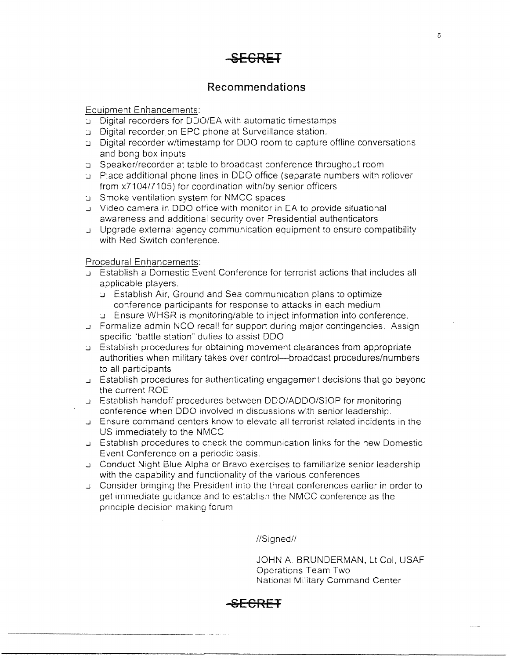

#### **Recommendations**

Equipment Enhancements:

- .J Digital recorders for ODO/EA with automatic timestamps
- :.J Digital recorder.on EPC phone at Surveillance station.
- :.J Digital recorder w/timestamp for ODO room to capture offiine conversations and bong box inputs
- :.J Speaker/recorder at table to broadcast conference throughout room
- .J Place additional phone lines in ODO office (separate numbers with rollover from x7104/7105) for coordination with/by senior officers
- .J Smoke ventilation system for NMCC spaces
- .J Video camera in ODO office with monitor in EA to provide situational awareness and additional security over Presidential authenticators
- .J Upgrade external agency communication equipment to ensure compatibility with Red Switch conference.

Procedural Enhancements:

- .J Establish a Domestic Event Conference for terrorist actions that includes all applicable players .
	- .J Establish Air. Ground and Sea communication plans to optimize conference participants for response to attacks in each medium
	- .J Ensure WHSR is monitoring/able to inject information into conference .
- .J Formalize admin NCO recall for support during major contingencies. Assign specific "battle station" duties to assist ODO
- .J Establish procedures for obtaining movement clearances from appropriate authorities when military takes over control--broadcast procedures/numbers to all participants
- .J Establish procedures for authenticating engagement decisions that go beyond the current ROE
- .J Establish handoff procedures between DDO/ADDO/SIOP for monitoring conference when DDO involved in discussions with senior leadership.
- .J Ensure command centers know to elevate all terrorist related incidents in the US immediately to the NMCC
- ..J Establish procedures to check the communication links for the new Domestic Event Conference on a periodic basis .
- .J Conduct Night Blue Alpha or Bravo exercises to familiarize senior leadership with the capability and functionality of the various conferences
- ..J Consider bringing the President into the threat conferences earlier in order to get immediate guidance and to establish the NMCC conference as the principle decision making forum

//Signed//

JOHN A BRUNDERMAN, Lt Col. USAF Operations Team Two National Military Command Center

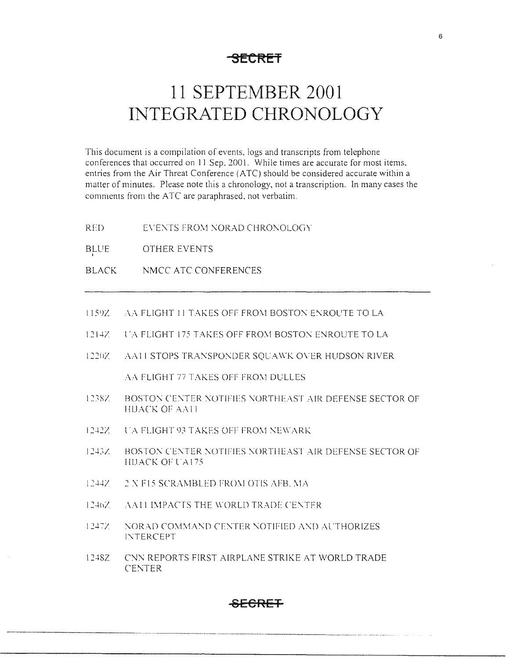**SECRET** 

# **11 SEPTEMBER 2001 INTEGRATED CHRONOLOGY**

This document is a compilation of events. logs and transcripts from telephone conferences that occurred on 11 Sep. 2001. While times are accurate for most items. entries from the Air Threat Conference (ATC) should be considered accurate within a matter of minutes. Please note this a chronology, not a transcription. In many cases the comments from the A TC are paraphrased. not verbatim.

- RED EVENTS FROM NORAD CHRONOLOGY
- BLUE OTHER EVENTS
- BLACK NMCC ATC CONFERENCES
- I 1592. *AA FLIGHT 11 TAKES OFF FROM BOSTON ENROUTE TO LA*
- 1214Z L'A FLIGHT 175 TAKES OFF FROM BOSTON ENROUTE TO LA
- I 22!l/ .-\.-\II STOPS TR.-\'.':SPO'.\DER SQL:A \\"K O\.ER HUDSON RIVER

AA FLIGHT 77 TAKES OFF FROM DULLES

- 1238Z BOSTON CENTER NOTIFIES NORTHEAST AIR DEFENSE SECTOR OF HIJACK OF AA11
- 1242Z. L'A FLIGHT 93 TAKES OFF FROM NEWARK
- 1243Z. BOSTON CENTER NOTIFIES NORTHEAST AIR DEFENSE SECTOR OF HIJACK OF UA175
- $1244Z = 2 \times F15$  SCRAMBLED FROM OTIS AFB. MA
- 1246Z AA11 IMPACTS THE WORLD TRADE CENTER
- 1247Z :: NORAD COMMAND CENTER NOTIFIED AND AUTHORIZES l'\TERCEPT
- 12482 CNN REPORTS FIRST AIRPLANE STRIKE AT WORLD TRADE CENTER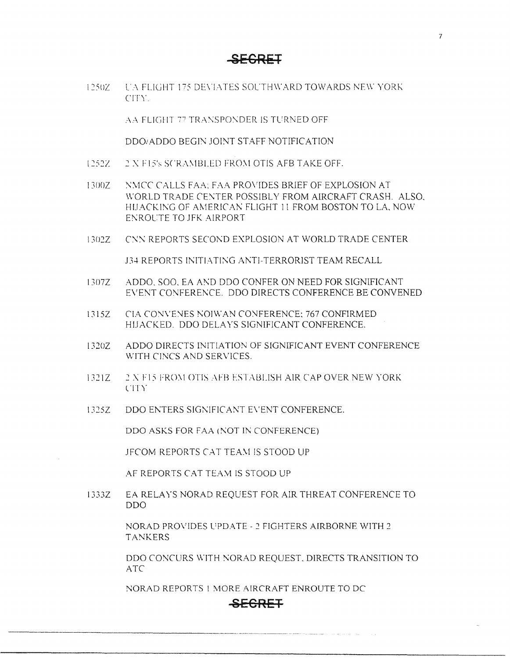**SECRET** 

I 25UI.'. l'.-\ FLl(-1IH 1'5 DE\'!.-\TES SOL'TH\\'ARD TOWARDS NE\\' YORI--: CIT\' .

AA FLIGHT 77 TRANSPONDER IS TURNED OFF

DDO/ADDO BEGIN JOINT STAFF NOTIFICATION

1252Z 2 X F15's SCRAMBLED FROM OTIS AFB TAKE OFF.

I300Z N\1CC CALLS FAA: F:\A PROVIDES BRIEF OF EXPLOSION AT \\'ORLD TRADE CE\:TER POSSIBLY FROM AIRCRAFT CRA.SH. ALSO, HIJACKING OF AMERICAN FLIGHT 11 FROM BOSTON TO LA, NOW ENROLTE TO JFK AIRPORT

1302Z CNN REPORTS SECOND EXPLOSION AT WORLD TRADE CENTER

J34 REPORTS INITIATING ANTI-TERRORIST TEAM RECALL

- I307Z ADDO, SOO, EA AND ODO CONFER ON NEED FOR SIGNIFICANT EVENT CONFERENCE. ODO DIRECTS CONFERENCE BE CONVENED
- 1315Z CIA CONVENES NOIWAN CONFERENCE: 767 CONFIRMED HIJACKED. DDO DELAYS SIGNIFICANT CONFERENCE.
- I320Z ADDO DIRECTS INITIATION OF SIGNIFICANT EVENT CONFERENCE WITH CINCS AND SERVICES.
- 1321Z <sup>2</sup> 2 X F15 FROM OTIS AFB ESTABLISH AIR CAP OVER NEW YORK l'ITY
- 1325Z DDO ENTERS SIGNIFICANT EVENT CONFERENCE.

DDO ASKS FOR FAA (NOT IN CONFERENCE)

JFCOM REPORTS CAT TEAM IS STOOD UP

AF REPORTS CAT TEAM IS STOOD UP

13332 EA RELAYS NORAD REQUEST FOR AIR THREAT CONFERENCE TO DDO

> NORAD PROVIDES l:PDA TE - *2* FIGHTERS AIRBORNE WITH *2*  TANKERS

ODO CONCURS WITH NORAD REQUEST, DIRECTS TRANSITION TO *ATC* 

NORAD REPORTS 1 MORE AIRCRAFT ENROUTE TO DC

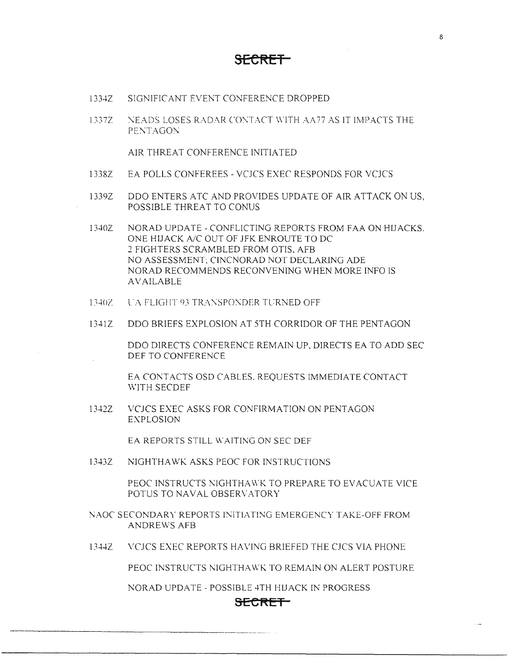- l 334Z SIGNIFICANT EVENT CONFERENCE DROPPED
- 1337Z  $\cdot$  NEADS LOSES RADAR CONTACT WITH AA77 AS IT IMPACTS THE PENTAGON

AIR THREAT CONFERENCE INITIATED

- 1338Z EA POLLS CONFEREES VCJCS EXEC RESPONDS FOR VCJCS
- 1339Z DDO ENTERS ATC AND PROVIDES UPDATE OF AIR ATTACK ON US. POSSIBLE THREAT TO CONUS
- 1340Z NORAD UPDATE CONFLICTING REPORTS FROM FAA ON HIJACKS. ONE HIJACK *NC* OUT OF JFK ENROUTE TO DC *2* FIGHTERS SCRAMBLED FROM OTIS, AFB NO ASSESSMENT: CINCNORAD NOT DECLARING ADE NORAD RECOMMENDS RECONVENING WHEN MORE INFO IS AVAILABLE
- 1340Z . L'A FLIGHT 93 TRANSPONDER TURNED OFF
- 1341Z DDO BRIEFS EXPLOSION AT 5TH CORRIDOR OF THE PENTAGON

ODO DIRECTS CONFERENCE REMAIN UP, DIRECTS EA TO ADD SEC DEF TO CONFERENCE

EA CONTACTS OSD CABLES. REQUESTS IMMEDIATE CONTACT WITH SECDEF

l 342Z VCJCS EXEC ASKS FOR CONFIRMATION ON PENTAGON EXPLOSION

EA REPORTS STILL WAITING ON SEC DEF

l 343Z NIGHTHAWK ASKS PEOC FOR INSTRUCTIONS

PEOC INSTRUCTS NIGHTHAWK TO PREPARE TO EVACUATE VICE POTUS TO NAVAL OBSERVATORY

- NAOC SECONDARY REPORTS INITIATING EMERGENCY TAKE-OFF FROM ANDREWS AFB
- 1344Z VCJCS EXEC REPORTS HA\'ING BRIEFED THE CJCS VIA PHONE

PEOC INSTRUCTS NIGHTHAWK TO REMAIN ON ALERT POSTURE

NORAD UPDATE - POSSIBLE 4TH HIJACK IN PROGRESS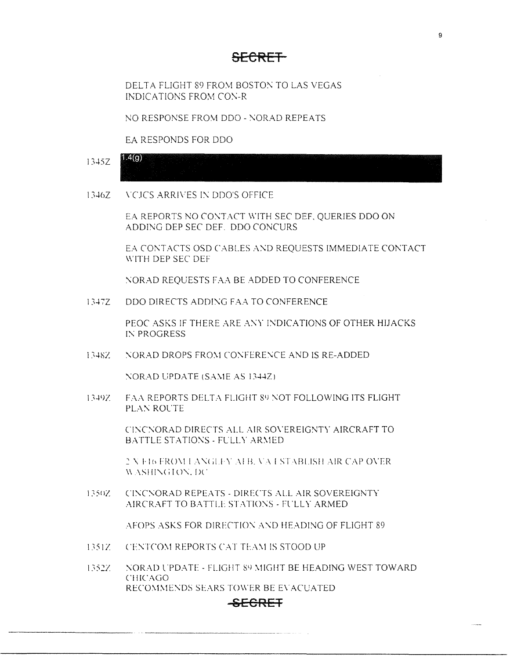## <del>SFCRFT</del>

DELTA FLIGHT 89 FROM BOSTON TO LAS VEGAS **INDICATIONS FROM CON-R** 

NO RESPONSE FROM DDO - NORAD REPEATS

EA RESPONDS FOR DDO

- $1.4(q)$  $1345Z$
- $13467$ VCICS ARRIVES IN DDO'S OFFICE

EA REPORTS NO CONTACT WITH SEC DEF, QUERIES DDO ON ADDING DEP SEC DEF. DDO CONCURS

EA CONTACTS OSD CABLES AND REQUESTS IMMEDIATE CONTACT WITH DEP SEC DEF

NORAD REQUESTS FAA BE ADDED TO CONFERENCE

13477 DDO DIRECTS ADDING FAA TO CONFERENCE

> PEOC ASKS IF THERE ARE ANY INDICATIONS OF OTHER HIJACKS IN PROGRESS

1348Z NORAD DROPS FROM CONFERENCE AND IS RE-ADDED

NORAD UPDATE (SAME AS 1344Z)

1349Z **FAA REPORTS DELTA FLIGHT 89 NOT FOLLOWING ITS FLIGHT** PLAN ROUTE

> CINCNORAD DIRECTS ALL AIR SOVEREIGNTY AIRCRAFT TO BATTLE STATIONS - FULLY ARMED

> 2 X F16 FROM LANGLEY AFB, VA ESTABLISH AIR CAP OVER WASHINGTON, DC

CINCNORAD REPEATS - DIRECTS ALL AIR SOVEREIGNTY 1350Z AIRCRAFT TO BATTLE STATIONS - FULLY ARMED

AFOPS ASKS FOR DIRECTION AND HEADING OF FLIGHT 89

- CENTCOM REPORTS CAT TEAM IS STOOD UP  $1351Z -$
- 1352Z NORAD UPDATE - FLIGHT 89 MIGHT BE HEADING WEST TOWARD **CHICAGO** RECOMMENDS SEARS TOWER BE EVACUATED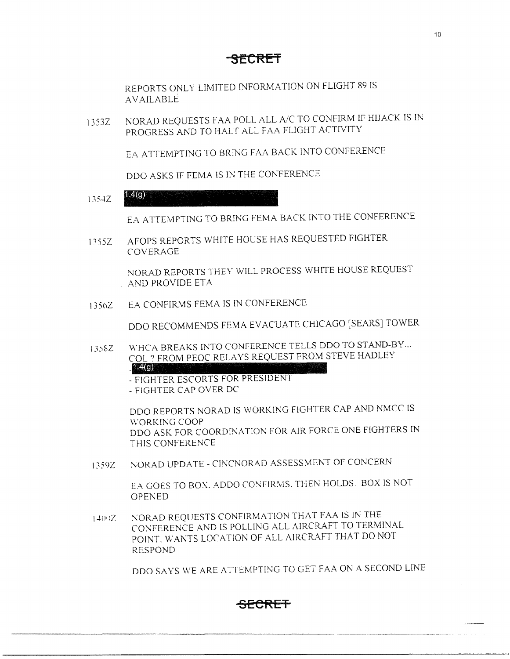REPORTS ONLY LIMITED INFORMATION ON FLIGHT 89 IS AVAILABLE

l 353Z l\ORAD REQUESTS FAA POLL ALL A/C TO CONFIRM IF HIJACK IS IN PROGRESS AND TO HALT ALL FAA FLIGHT ACTIVITY

EA ATTEMPTING TO BRING FAA BACK INTO CONFERENCE

DDO ASKS IF FEMA IS IN THE CONFERENCE

 $1.354Z$   $1.4(9)$ 

EA ATTEMPTING TO BRING FEMA BACK INTO THE CONFERENCE

1355Z AFOPS REPORTS WHITE HOUSE HAS REQUESTED FIGHTER COVERAGE

> NORAD REPORTS THEY WILL PROCESS WHITE HOUSE REQUEST . AND PROVIDE ETA

1356Z EA CONFIRMS FEMA IS IN CONFERENCE

ODO RECOMMENDS FEMA EVACUATE CHICAGO (SEARS] TOWER

135SZ WHCA BREAKS INTO CONFERENCE TELLS DDO TO STAND-BY... COL ? FROM PEOC RELAYS REQUEST FROM STEVE HADLEY **1. (g)** 

> - FIGHTER ESCORTS FOR PRESIDENT - FIGHTER CAP OVER DC

ODO REPORTS NORAD IS WORKING FIGHTER CAP AND NMCC IS \\"ORKING COOP ODO ASK FOR COORDINATION FOR AIR FORCE ONE FIGHTERS IN THIS CONFERENCE

l 359Z \:OR.AD UPDATE - ClNCNORAD ASSESSMENT OF CONCERN

EA GOES TO BOX. ADDO CONFIRMS. THEN HOLDS. BOX IS NOT OPENED.

1-+()()Z '.\ORAD REQUESTS CONFIRMATlON THAT FAA IS IN THE CONFERENCE AND IS POLLING ALL AIRCRAFT TO TERMINAL POINT. WANTS LOCATION OF ALL AIRCRAFT THAT DO NOT RESPOND

ODO SAYS WE ARE ATTEMPTING TO GET FAA ON A SECOND LINE

10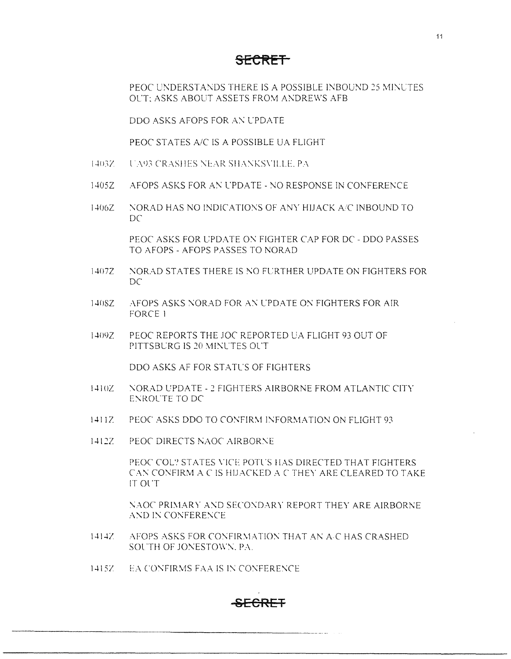PEOC UNDERSTANDS THERE IS A POSSIBLE INBOUND *25* \11:\LTES OL'T: ASKS ABOUT ASSETS FROM ANDREWS AFB

ODO ASKS AFOPS FOR A\: L'PDATE

PEOC STATES A/C IS A POSSIBLE UA FLIGHT

- 1403Z U.A.93 CRASHES NEAR SHANKSVILLE. PA
- 1405Z AFOPS ASKS FOR AN L'PDATE NO RESPONSE IN CONFERENCE
- 1406Z NORAD HAS NO INDICATIONS OF ANY HIJACK A/C INBOUND TO  $DC$

PEOC ASKS FOR UPDATE ON FIGHTER CAP FOR DC - DDO PASSES TO AFOPS - AFOPS PASSES TO NORAD

- 1407Z :\ORAD STATES THERE IS *T\O* FLRTHER UPDATE ON FIGHTERS FOR DC
- 140SZ :: AFOPS ASKS NORAD FOR AN UPDATE ON FIGHTERS FOR AIR FORCE I
- l409Z PEOC REPORTS THE JOC REPORTED UA FLIGHT 93 OUT OF PITTSBURG IS 20 MINUTES OUT

DDO ASKS AF FOR STATUS OF FIGHTERS

- 1410Z : NORAD UPDATE 2 FIGHTERS AIRBORNE FROM ATLANTIC CITY ENROL'TE TO DC
- 14112 PEOC ASKS DDO TO CONFIRM INFORMATION ON FLIGHT 93
- 1412Z. PEOC DIRECTS NAOC AIRBORNE

PEOC COL? STATES VICE POTUS HAS DIRECTED THAT FIGHTERS CAN CONFIRM A C IS HIJACKED A C THEY ARE CLEARED TO TAKE IT Ol'T

NAOC PRIMARY AND SECONDARY REPORT THEY ARE AIRBORNE AND IN CONFERENCE.

- 1414Z AFOPS ASKS FOR CONFIRMATION THAT AN A.C HAS CRASHED SOUTH OF JONESTOWN, PA.
- 1415Z L.- EA CONFIRMS FAA IS IN CONFERENCE

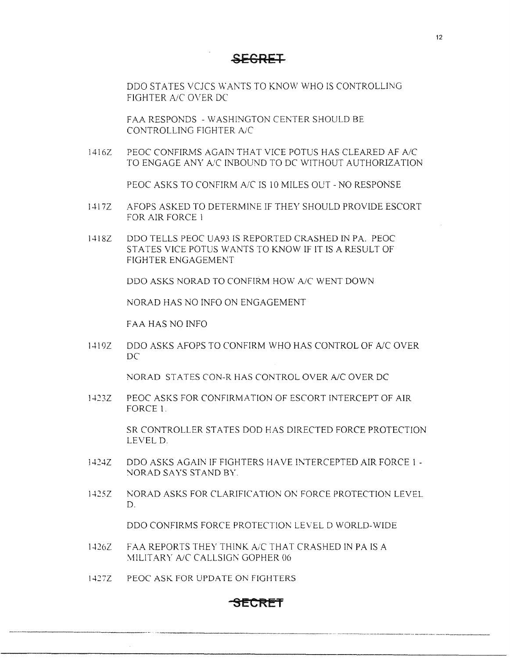**6ECRET** 

DDO STATES YCJCS WANTS TO KNOW WHO IS CONTROLLING FIGHTER A/C OVER DC

FAA RESPONDS - WASHINGTON CENTER SHOULD BE CONTROLLING FIGHTER AJC

1416Z PEOC CONFIRMS AGAIN THAT VICE POTUS HAS CLEARED AF A/C TO ENGAGE ANY A/C INBOUND TO DC WITHOUT AUTHORIZATION

PEOC ASKS TO CONFIRM A/C IS 10 MILES OUT - NO RESPONSE

- I417Z AFOPS ASKED TO DETERMINE IF THEY SHOULD PROVIDE ESCORT FOR AIR FORCE l
- l418Z ODO TELLS PEOC UA93 IS REPORTED CRASHED IN PA. PEOC STATES VICE POTUS WANTS TO KNOW IF IT IS A RESULT OF FIGHTER ENGAGEMENT

ODO ASKS NORAD TO CONFIRM HOW A/C WENT DOWN

NORAD HAS NO INFO ON ENGAGEMENT

FAA HAS NO INFO

1419Z DDO ASKS AFOPS TO CONFIRM WHO HAS CONTROL OF A/C OVER DC

NORAD STATES CON-R HAS CONTROL OVER A/C OVER DC

1423Z PEOC ASKS FOR CONFIRMATION OF ESCORT INTERCEPT OF AIR FORCE 1.

> SR CONTROLLER STATES DOD HAS DIRECTED FORCE PROTECTION LEVEL D.

- 1424Z DDO ASKS AGAIN IF FIGHTERS HAVE INTERCEPTED AIR FORCE 1 -NORAD SAYS STAND BY.
- l 425Z NORAD ASKS FOR CLARIFICATION ON FORCE PROTECTION LEVEL D.

DDO CONFIRMS FORCE PROTECTION LEVEL D WORLD-WIDE

- l 426Z FAA REPORTS THEY THINK AC THAT CRASHED IN PA IS A \1ILITARY *NC* CALLSIGN GOPHER 06
- l *427Z* PEOC ASK FOR UPDATE ON FIGHTERS

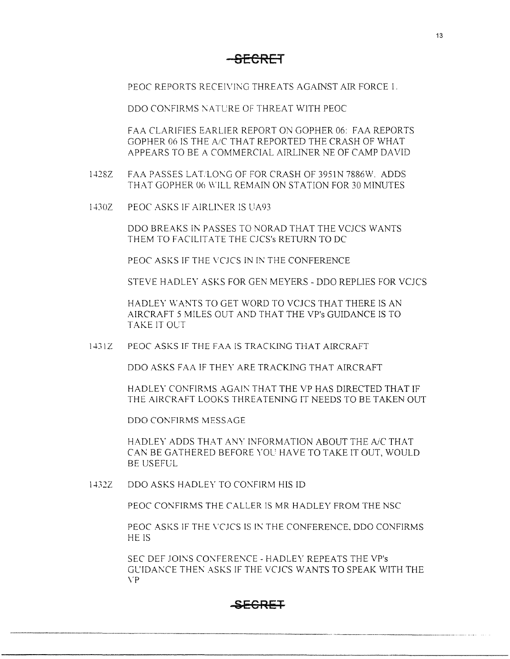PEOC REPORTS RECEIVING THREATS AGAINST AIR FORCE 1.

DDO CONFIRMS NATCRE OF THREAT WITH PEOC

FAA CLARIFIES EARLIER REPORT ON GOPHER 06: FAA REPORTS GOPHER 06 IS THE A!C THAT REPORTED THE CRASH OF WHAT APPEARS TO BE A COMMERCIAL AIRLINER NE OF CAMP DAVID

- 1428Z FAA PASSES LAT/LONG OF FOR CRASH OF 3951N 7886W. ADDS THAT GOPHER 06 WILL REMAIN ON STATION FOR 30 MINUTES
- l 430Z PEOC ASKS IF AIRLINER IS UA93

DDO BREAKS IN PASSES TO NORAD THAT THE VCJCS WANTS THEM TO FACILITATE THE CJCS's RETURN TO DC

PEOC ASKS IF THE VCJCS IN IN THE CONFERENCE

STEVE HADLEY ASKS FOR GEN MEYERS - DDO REPLIES FOR VCJCS

HADLEY WANTS TO GET WORD TO VCJCS THAT THERE IS AN AIRCRAFT 5 MILES OUT AND THAT THE VP's GUIDANCE IS TO TAKE IT OLT

1431Z PEOC ASKS IF THE FAA IS TRACKING THAT AIRCRAFT

ODO ASKS FAA IF THEY ARE TRACKING THAT AIRCRAFT

HADLEY CONFIRMS AGAIN THAT THE VP HAS DIRECTED THAT IF THE AIRCRAFT LOOKS THREATENING IT NEEDS TO BE TAKEN OUT

DDO CONFIRMS MESSAGE

HADLEY ADDS THAT ANY INFORMATION ABOUT THE A/C THAT CAN BE GATHERED BEFORE YOL' HAVE TOTAKE IT OUT, WOULD BE USEFUL

1432Z DDO ASKS HADLEY TO CONFIRM HIS ID

PEOC CONFIRMS THE CALLER IS MR HADLEY FROM THE NSC

PEOC ASKS IF THE VCJCS IS IN THE CONFERENCE, DDO CONFIRMS HE IS

SEC DEF JOINS CONFERENCE - HADLEY REPEATS THE VP's Gl'IDANCE THEN ASKS IF THE VCJCS WANTS TO SPEAK WITH THE \'P

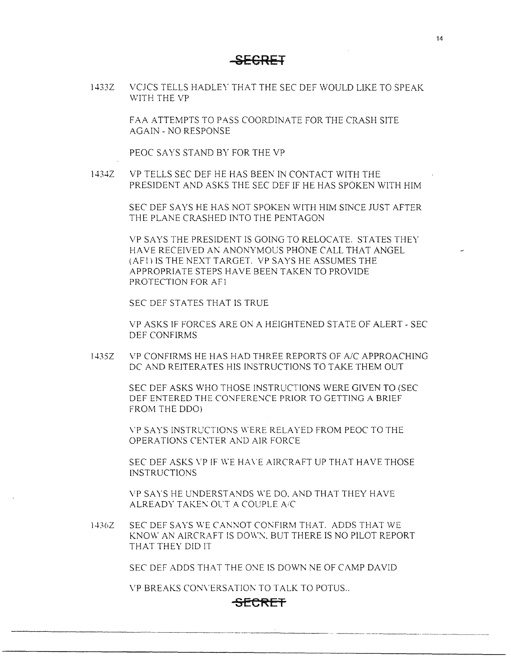l 433Z VCJCS TELLS HADLEY THAT THE SEC DEF WOULD LIKE TO SPEAK WITH THE VP

> FAA ATTEMPTS TO PASS COORDINATE FOR THE CRASH SITE AGAIN - NO RESPONSE

PEOC SAYS STAND BY FOR THE VP

1434Z VP TELLS SEC DEF HE HAS BEEN IN CONTACT WITH THE PRESIDENT AND ASKS THE SEC DEF IF HE HAS SPOKEN WITH HIM

> SEC DEF SAYS HE HAS NOT SPOKEN WITH HIM SINCE JUST AFTER THE PLANE CRASHED INTO THE PENTAGON

VP SAYS THE PRESIDENT IS GOING TO RELOCATE. STATES THEY HAVE RECEIVED AN ANONYMOUS PHONE CALL THAT ANGEL (AF!) IS THE NEXT TARGET. VP SAYS HE ASSUMES THE APPROPRIATE STEPS HA VE BEEN TAKEN TO PROVIDE PROTECTION FOR AF1

SEC DEF STATES THAT IS TRUE

VP ASKS IF FORCES ARE ON A HEIGHTENED STATE OF ALERT - SEC DEF CONFIRMS

1-B5Z VP CONFIRMS HE HAS HAD THREE REPORTS OF *NC* APPROACHING DC AND REITERATES HIS INSTRUCTIONS TOTAKE THEM OUT

> SEC DEF ASKS WHO THOSE INSTRUCTIONS WERE GIVEN TO {SEC DEF ENTERED THE CONFERENCE PRIOR TO GETTING A BRIEF FROM THE DDO)

\'P SAYS INSTRUCTIONS \\'ERE RELAYED FROM PEOC TO THE OPERATIONS CENTER AND AIR FORCE

SEC DEF ASKS VP IF WE HAVE AIRCRAFT UP THAT HAVE THOSE INSTRUCTIONS

VP SAYS HE UNDERSTANDS WE DO. AND THAT THEY HAVE ALREADY TAKEN OUT A COUPLE A/C

1436Z SEC DEF SAYS WE CANNOT CONFIRM THAT. ADDS THAT WE KNOW AN AIRCRAFT IS DOWN, BUT THERE IS NO PILOT REPORT THAT THEY DID IT

SEC DEF ADDS THAT THE ONE IS DOWN NE OF CAMP DAVID

VP BREAKS CONVERSATION TO TALK TO POTUS...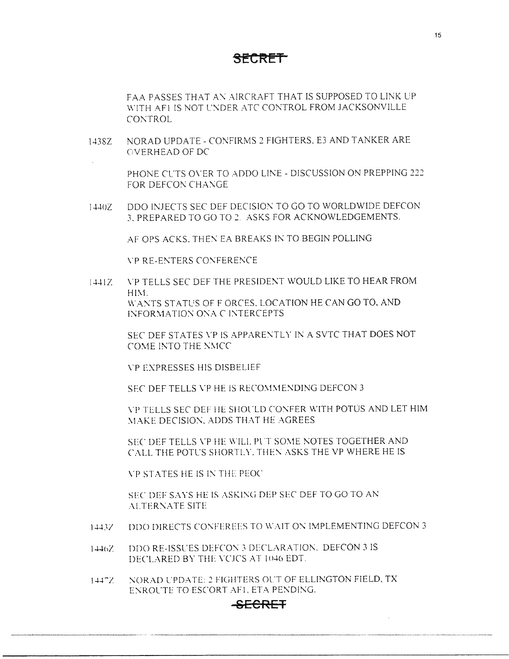FAA PASSES THAT AN AIRCRAFT THAT IS SUPPOSED TO LINK UP WITH AFI IS NOT UNDER ATC CONTROL FROM JACKSONVILLE CONTROL

J.i38Z NORAD UPDATE - CONFIRMS *2* FIGHTERS. E3 AND TANKER ARE OVERHEAD OF DC

> PHONE CL.TS O\'ER TO ADDO LINE - DISCUSSION ON PREPPING *222*  FOR DEFCON CHANGE.

1440Z DDO INJECTS SEC DEF DECISION TO GO TO WORLDWIDE DEFCON 3. PREPARED TO GO TO *2.* ASKS FOR ACKNOWLEDGEMENTS.

AF OPS ACKS. THEN EA BREAKS IN TO BEGIN POLLING

\'PRE-ENTERS CONFERENCE

1441Z VP TELLS SEC DEF THE PRESIDENT WOULD LIKE TO HEAR FROM HIM. WANTS STATUS OF F ORCES. LOCATION HE CAN GO TO, AND l'.\FOR\1A TIO'.\ 0'.\A C l'.\TERCEPTS

> SEC DEF STATES VP IS APPARENTLY IN A SVTC THAT DOES NOT C0\1E INTO THE N\1CC

\'P EXPRESSES HIS DISBELIEF

SEC DEF TELLS VP HE IS RECOMMENDING DEFCON 3

\"P TELLS SEC DEF HE SHOl"LD CO'.\FER WITH POTUS AND LET HIM \1.-\KE DECISIO'.\. ADDS THAT HE AGREES

SEC DEF TELLS VP HE WILL PUT SOME NOTES TOGETHER AND CALL THE POTL'S SHORTLY. THEN ASKS THE VP WHERE HE IS

\'P STATES HE IS I\: THE PEOC

SEC DEF SAYS HE IS ASKING DEP SEC DEF TO GO TO AN ALTERNATE SITE

- 1443Z DDO DIRECTS CONFEREES TO WAIT ON IMPLEMENTING DEFCON 3
- 1446Z DDO RE-ISSUES DEFCON 3 DECLARATION. DEFCON 3 IS DECLARED BY THE VCICS AT 1046 EDT.
- 1.i.i-; '.\OR:\D l."PD:\TE: *2* FICillTERS OL'T OF ELLINGTON FIELD. TX ENROL'TE TO ESCORT AFI. ETA PENDING.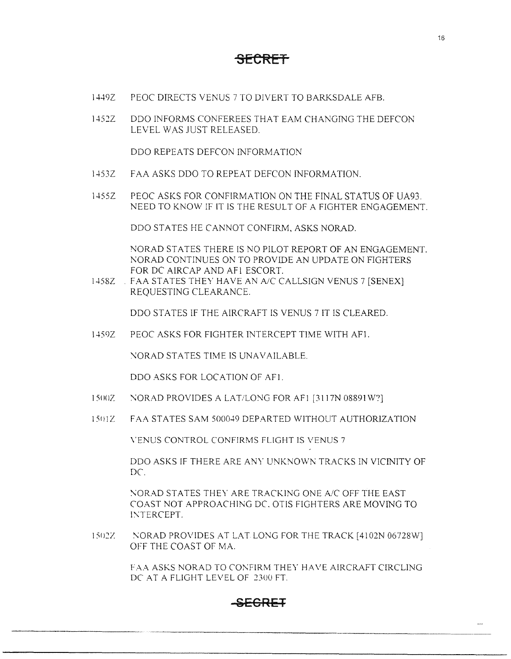- 1449Z PEOC DfRECTS VENUS 7 TO DIVERT TO BARKSDALE AFB.
- 1452Z ODO INFORMS CONFEREES THAT EAM CHANGING THE DEFCON LEVEL WAS JUST RELEASED.

DOO REPEATS DEFCON INFORMATION

- l453Z FAA ASKS ODO TO REPEAT DEFCON INFORMATION.
- l455Z PEOC ASKS FOR CONFIRMATION ON THE FINAL STATUS OF UA93. NEED TO KNOW IF IT IS THE RESULT OF A FIGHTER ENGAGEMENT.

ODO STATES HE CANNOT CONFIRM, ASKS NORAD.

NORAD STATES THERE IS NO PILOT REPORT OF AN ENGAGEMENT. NORAD CONTINUES ON TO PROVIDE AN UPDATE ON FIGHTERS FOR DC AIRCAP AND AF! ESCORT.

1458Z . FAA STATES THEY HAVE AN A/C CALLSIGN VENUS 7 [SENEX] REQUESTING CLEARANCE.

DDO STATES IF THE AIRCRAFT IS VENUS 7 IT IS CLEARED.

l-+59Z PEOC ASKS FOR FIGHTER INTERCEPT TIME WITH AF1.

NORAD STATES TIME IS UNAVAILABLE.

DDO ASKS FOR LOCATION OF AF!.

- 1500Z NORAD PROVIDES A LAT/LONG FOR AFl [3117N 08891 W?]
- 1s111z FAA STATES SAM 500049 DEPARTED WITHOUT AUTHORIZATION

\"ENUS CONTROL CONFIRMS FLIGHT IS VENUS 7

ODO ASKS IF THERE ARE ANY UNKNOWN TRACKS IN VICINITY OF  $DC$ 

NORAD STATES THEY ARE TRACKING ONE A/C OFF THE EAST COAST NOT APPROACHING DC OTIS FIGHTERS ARE MOVING TO INTERCEPT.

1502Z NORAD PROVIDES AT LAT LONG FOR THE TRACK [4102N 06728W] OFF THE COAST OF MA.

> FAA ASKS NORAD TO CONFIRM THEY HAVE AIRCRAFT CIRCLING DC AT A FLIGHT LEVEL OF 2300 FT

## **g[CRET**